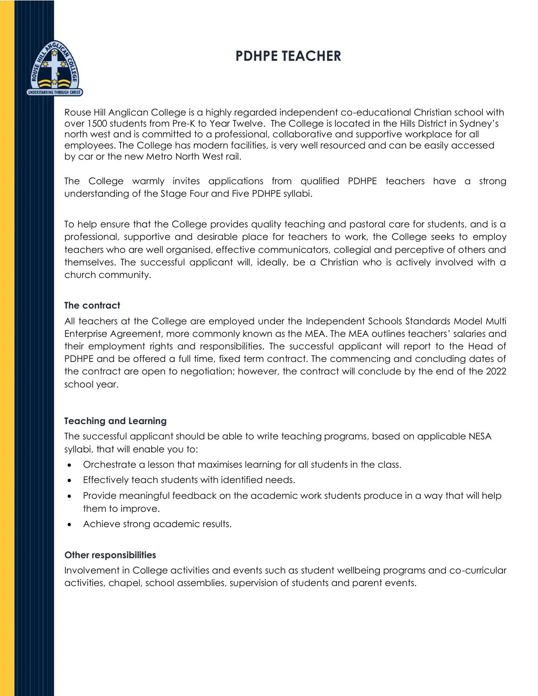# **PDHPE TEACHER**



Rouse Hill Anglican College is a highly regarded independent co-educational Christian school with over 1500 students from Pre-K to Year Twelve. The College is located in the Hills District in Sydney's north west and is committed to a professional, collaborative and supportive workplace for all employees. The College has modern facilities, is very well resourced and can be easily accessed by car or the new Metro North West rail.

The College warmly invites applications from qualified PDHPE teachers have a strong understanding of the Stage Four and Five PDHPE syllabi.

To help ensure that the College provides quality teaching and pastoral care for students, and is a professional, supportive and desirable place for teachers to work, the College seeks to employ teachers who are well organised, effective communicators, collegial and perceptive of others and themselves. The successful applicant will, ideally, be a Christian who is actively involved with a church community.

#### **The contract**

All teachers at the College are employed under the Independent Schools Standards Model Multi Enterprise Agreement, more commonly known as the MEA. The MEA outlines teachers' salaries and their employment rights and responsibilities. The successful applicant will report to the Head of PDHPE and be offered a full time, fixed term contract. The commencing and concluding dates of the contract are open to negotiation; however, the contract will conclude by the end of the 2022 school year.

### **Teaching and Learning**

The successful applicant should be able to write teaching programs, based on applicable NESA syllabi, that will enable you to:

- Orchestrate a lesson that maximises learning for all students in the class.
- Effectively teach students with identified needs.
- Provide meaningful feedback on the academic work students produce in a way that will help them to improve.
- Achieve strong academic results.

### **Other responsibilities**

Involvement in College activities and events such as student wellbeing programs and co-curricular activities, chapel, school assemblies, supervision of students and parent events.